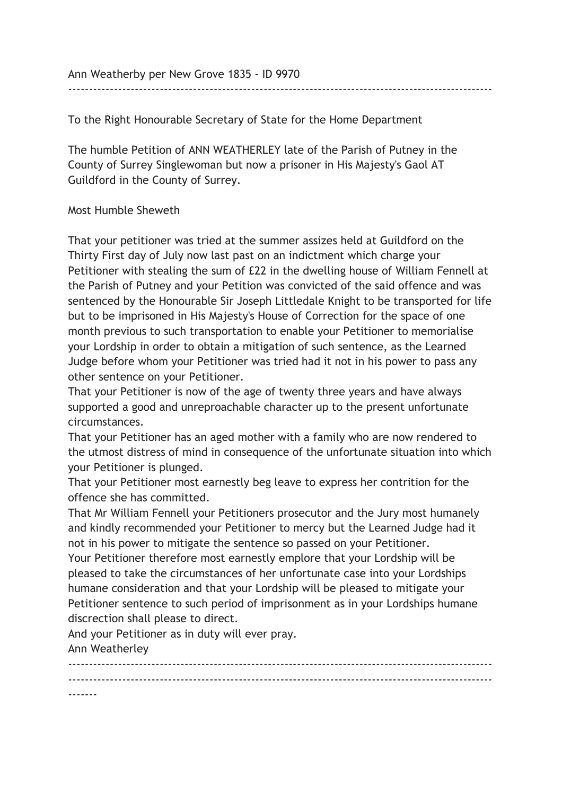Ann Weatherby per New Grove 1835 - ID 9970

------------------------------------------------------------------------------------------------------

To the Right Honourable Secretary of State for the Home Department

The humble Petition of ANN WEATHERLEY late of the Parish of Putney in the County of Surrey Singlewoman but now a prisoner in His Majesty's Gaol AT Guildford in the County of Surrey.

## Most Humble Sheweth

That your petitioner was tried at the summer assizes held at Guildford on the Thirty First day of July now last past on an indictment which charge your Petitioner with stealing the sum of £22 in the dwelling house of William Fennell at the Parish of Putney and your Petition was convicted of the said offence and was sentenced by the Honourable Sir Joseph Littledale Knight to be transported for life but to be imprisoned in His Majesty's House of Correction for the space of one month previous to such transportation to enable your Petitioner to memorialise your Lordship in order to obtain a mitigation of such sentence, as the Learned Judge before whom your Petitioner was tried had it not in his power to pass any other sentence on your Petitioner.

That your Petitioner is now of the age of twenty three years and have always supported a good and unreproachable character up to the present unfortunate circumstances.

That your Petitioner has an aged mother with a family who are now rendered to the utmost distress of mind in consequence of the unfortunate situation into which your Petitioner is plunged.

That your Petitioner most earnestly beg leave to express her contrition for the offence she has committed.

That Mr William Fennell your Petitioners prosecutor and the Jury most humanely and kindly recommended your Petitioner to mercy but the Learned Judge had it not in his power to mitigate the sentence so passed on your Petitioner.

Your Petitioner therefore most earnestly emplore that your Lordship will be pleased to take the circumstances of her unfortunate case into your Lordships humane consideration and that your Lordship will be pleased to mitigate your Petitioner sentence to such period of imprisonment as in your Lordships humane discrection shall please to direct.

And your Petitioner as in duty will ever pray. Ann Weatherley

------------------------------------------------------------------------------------------------------ ------------------------------------------------------------------------------------------------------ -------